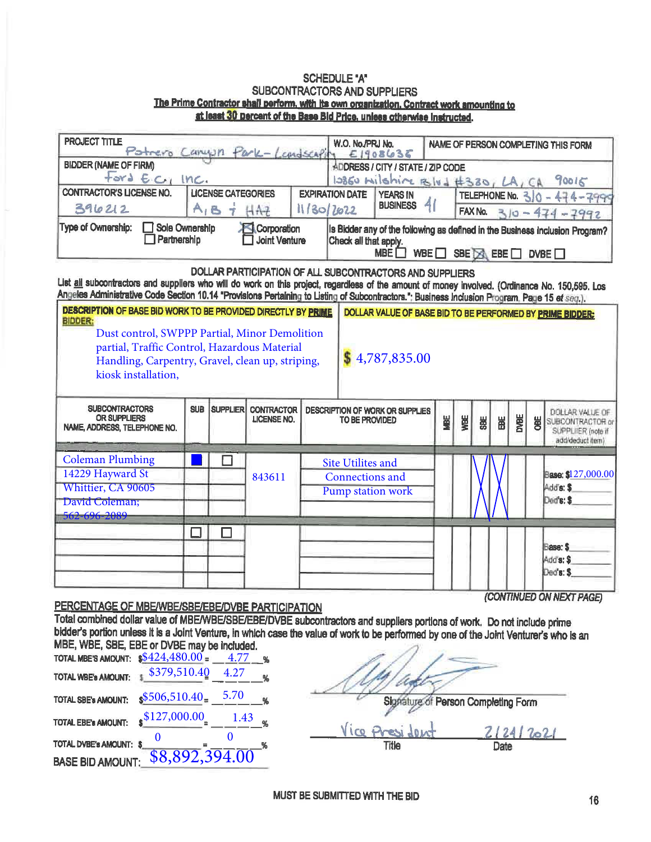#### **SCHEDULE "A"** SUBCONTRACTORS AND SUPPLIERS The Prime Contractor shall perform, with its own organization, Contract work amounting to at least 30 percent of the Base Bid Price, unless otherwise instructed.

|                                                                                                                                                                                                                                                                                                   |            |                                                                             | Patrero Caryon Park-Leadscapity              |            | W.O. No./PRJ No.<br>E1908635                                                                                 |            |                                                                  |            |   |             |            | NAME OF PERSON COMPLETING THIS FORM                                                                       |  |
|---------------------------------------------------------------------------------------------------------------------------------------------------------------------------------------------------------------------------------------------------------------------------------------------------|------------|-----------------------------------------------------------------------------|----------------------------------------------|------------|--------------------------------------------------------------------------------------------------------------|------------|------------------------------------------------------------------|------------|---|-------------|------------|-----------------------------------------------------------------------------------------------------------|--|
| <b>BIDDER (NAME OF FIRM)</b><br>Ford E.C.I. Inc.                                                                                                                                                                                                                                                  |            | ADDRESS / CITY / STATE / ZIP CODE<br>10860 Milshire Blvd #380, LA, CA 90016 |                                              |            |                                                                                                              |            |                                                                  |            |   |             |            |                                                                                                           |  |
| <b>CONTRACTOR'S LICENSE NO.</b><br>396212                                                                                                                                                                                                                                                         |            | <b>LICENSE CATEGORIES</b><br>$A_1B_2$ $\neq$ $HAZ$                          |                                              | 11/30/2022 | <b>EXPIRATION DATE</b><br><b>YEARS IN</b><br><b>BUSINESS</b>                                                 | 41         | TELEPHONE No. $30 - 474 - 7999$<br>FAX No.<br>$310 - 474 - 7992$ |            |   |             |            |                                                                                                           |  |
| Type of Ownership:<br>Sole Ownership<br>Partnership                                                                                                                                                                                                                                               |            |                                                                             | <b>X</b> Corporation<br><b>Joint Venture</b> |            | Is Bidder any of the following as defined in the Business Inclusion Program?<br>Check all that apply.<br>MBE | WBE $\Box$ |                                                                  |            |   |             |            | SBE $\boxtimes$ EBE $\Box$ DVBE $\Box$                                                                    |  |
| List all subcontractors and suppliers who will do work on this project, regardless of the amount of money involved. (Ordinance No. 150,595. Los<br>Angeles Administrative Code Section 10.14 "Provisions Pertaining to Listing of Subcontractors."; Business Inclusion Program, Page 15 et seq.). |            |                                                                             |                                              |            | DOLLAR PARTICIPATION OF ALL SUBCONTRACTORS AND SUPPLIERS                                                     |            |                                                                  |            |   |             |            |                                                                                                           |  |
| BIDDER:<br>Dust control, SWPPP Partial, Minor Demolition<br>partial, Traffic Control, Hazardous Material<br>Handling, Carpentry, Gravel, clean up, striping,<br>kiosk installation,<br><b>SUBCONTRACTORS</b><br><b>OR SUPPLIERS</b>                                                               | <b>SUB</b> | <b>SUPPLIER</b>                                                             | <b>CONTRACTOR</b><br><b>LICENSE NO.</b>      |            | \$4,787,835.00<br><b>DESCRIPTION OF WORK OR SUPPLIES</b>                                                     |            |                                                                  |            |   |             |            | DOLLAR VALUE OF                                                                                           |  |
|                                                                                                                                                                                                                                                                                                   |            |                                                                             |                                              |            | <b>TO BE PROVIDED</b>                                                                                        | ¥          | ₩                                                                | <b>SBE</b> | Ħ | <b>DVBE</b> | <b>SHE</b> |                                                                                                           |  |
| NAME, ADDRESS, TELEPHONE NO.<br><b>Coleman Plumbing</b><br>14229 Hayward St<br>Whittier, CA 90605<br>David Coleman;<br><del>562-696-2089</del>                                                                                                                                                    |            |                                                                             | 843611                                       |            | <b>Site Utilites and</b><br>Connections and<br>Pump station work                                             |            |                                                                  |            |   |             |            | SUBCONTRACTOR or<br>SUPPLIIER (note if<br>add/deduct hem)<br>Base: \$127,000.00<br>Add's: \$<br>Ded's: \$ |  |

# PERCENTAGE OF MBE/WBE/SBE/EBE/DVBE PARTICIPATION

Total combined dollar value of MBE/WBE/SBE/EBE/DVBE subcontractors and suppliers portions of work. Do not include prime bidder's portion unless it is a Joint Venture, in which case the value of work to be performed by one of the Joint Venturer's who is an MBE, WBE, SBE, EBE or DVBE may be included.

| <b>TOTAL MBE'S AMOUNT:</b> | $\$424,480.00=$ | 4.77 |   |
|----------------------------|-----------------|------|---|
| <b>TOTAL WBE's AMOUNT:</b> | \$379,510.40    | 4.27 | 弘 |
| <b>TOTAL SBE's AMOUNT:</b> | \$506,510.40    | 5.70 | % |
| <b>TOTAL EBE's AMOUNT:</b> | \$127,000.00    | 1.43 |   |
| TOTAL DVBE's AMOUNT: \$    |                 |      |   |
| <b>BASE BID AMOUNT:</b>    | \$8,892,394.00  |      |   |

le Signature of Person Completing Form Vice Pr 21241202  $0<sub>M</sub>$ **Title Date**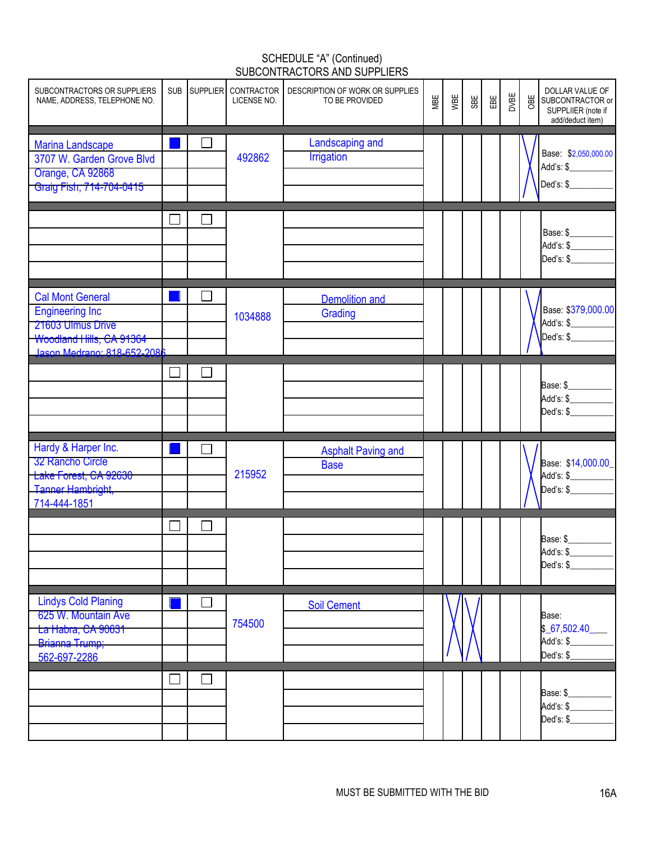## SCHEDULE "A" (Continued) SUBCONTRACTORS AND SUPPLIERS

| SUBCONTRACTORS OR SUPPLIERS<br>NAME, ADDRESS, TELEPHONE NO.                                                                       | <b>SUB</b> | SUPPLIER CONTRACTOR<br>LICENSE NO. | DESCRIPTION OF WORK OR SUPPLIES<br>TO BE PROVIDED | MBE | WBE | SBE | EBE | DVBE | OBE | DOLLAR VALUE OF<br>SUBCONTRACTOR or<br>SUPPLIIER (note if<br>add/deduct item) |
|-----------------------------------------------------------------------------------------------------------------------------------|------------|------------------------------------|---------------------------------------------------|-----|-----|-----|-----|------|-----|-------------------------------------------------------------------------------|
| <b>Marina Landscape</b><br>3707 W. Garden Grove Blvd<br>Orange, CA 92868<br>Graig Fish; 714-704-0415                              |            | 492862                             | Landscaping and<br>Irrigation                     |     |     |     |     |      |     | Base: \$2,050,000.00<br>Add's: \$<br>Ded's: \$                                |
|                                                                                                                                   |            |                                    |                                                   |     |     |     |     |      |     | Base: \$<br>Add's: \$<br>Ded's: \$                                            |
| <b>Cal Mont General</b><br><b>Engineering Inc</b><br>21603 Ulmus Drive<br>Woodland Hills, CA 91364<br>Jason Medrano: 818-652-2086 |            | 1034888                            | <b>Demolition and</b><br>Grading                  |     |     |     |     |      |     | Base: \$379,000.00<br>Add's: \$<br>Ded's: \$                                  |
|                                                                                                                                   |            |                                    |                                                   |     |     |     |     |      |     | Base: \$<br>Add's: $\frac{6}{2}$<br>Ded's: \$                                 |
| Hardy & Harper Inc.<br>32 Rancho Circle<br>Lake Forest, CA 92630<br><b>Tanner Hambright,</b><br>714-444-1851                      |            | 215952                             | <b>Asphalt Paving and</b><br><b>Base</b>          |     |     |     |     |      |     | Base: \$14,000.00_<br>Add's: \$<br>Ded's: $$$                                 |
|                                                                                                                                   |            |                                    |                                                   |     |     |     |     |      |     | Base: \$<br>Add's: \$<br>Ded's: \$                                            |
| <b>Lindys Cold Planing</b><br>625 W. Mountain Ave<br>La Habra, CA 90631<br>Brianna Trump;<br>562-697-2286                         |            | 754500                             | <b>Soil Cement</b>                                |     |     |     |     |      |     | Base:<br>\$67,502.40<br>Add's: \$_<br>Ded's: \$                               |
|                                                                                                                                   |            |                                    |                                                   |     |     |     |     |      |     | Base: \$<br>Add's: \$<br>Ded's: $$$                                           |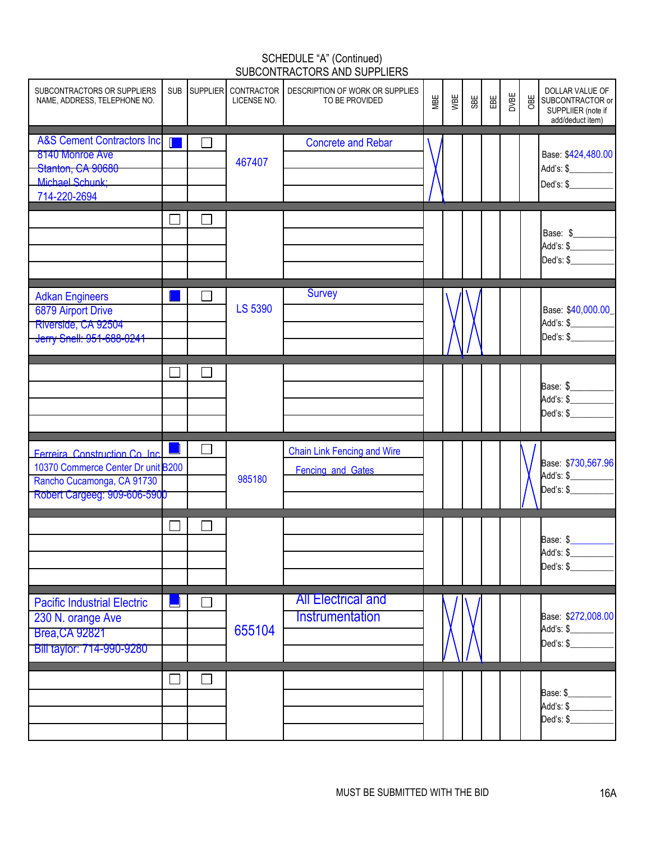## SCHEDULE "A" (Continued) SUBCONTRACTORS AND SUPPLIERS

| SUBCONTRACTORS OR SUPPLIERS<br>NAME, ADDRESS, TELEPHONE NO.                                                                        |                | SUB SUPPLIER CONTRACTOR<br>LICENSE NO. | DESCRIPTION OF WORK OR SUPPLIES<br>TO BE PROVIDED       | MBE | WBE | SBE | 留 | DVBE | OBE | DOLLAR VALUE OF<br>SUBCONTRACTOR or<br>SUPPLIIER (note if<br>add/deduct item) |
|------------------------------------------------------------------------------------------------------------------------------------|----------------|----------------------------------------|---------------------------------------------------------|-----|-----|-----|---|------|-----|-------------------------------------------------------------------------------|
| <b>A&amp;S Cement Contractors Inc.</b><br>8140 Monroe Ave<br>Stanton, CA 90680<br>Michael Schunk:<br>714-220-2694                  | ſ              | 467407                                 | <b>Concrete and Rebar</b>                               |     |     |     |   |      |     | Base: \$424,480.00<br>Add's: \$___________<br>Ded's: \$                       |
|                                                                                                                                    |                |                                        |                                                         |     |     |     |   |      |     | Base: \$<br>Add's: \$<br>Ded's: \$                                            |
| <b>Adkan Engineers</b><br><b>6879 Airport Drive</b><br>Riverside, CA 92504<br>Jerry Snell: 951-688-0241                            |                | <b>LS 5390</b>                         | <b>Survey</b>                                           |     |     |     |   |      |     | Base: \$40,000.00<br>Add's: \$<br>Ded's: \$                                   |
|                                                                                                                                    |                |                                        |                                                         |     |     |     |   |      |     | Base: \$<br>Add's: \$<br>Ded's: \$                                            |
| Ferreira Construction Co. Inc.<br>10370 Commerce Center Dr unit B200<br>Rancho Cucamonga, CA 91730<br>Robert Cargeeg: 909-606-5900 |                | 985180                                 | <b>Chain Link Fencing and Wire</b><br>Fencing and Gates |     |     |     |   |      |     | Base: \$730,567.96<br>Add's: \$<br>Ded's: \$                                  |
|                                                                                                                                    |                |                                        |                                                         |     |     |     |   |      |     | Base: \$<br>Add's: \$<br>Ded's: \$                                            |
| <b>Pacific Industrial Electric</b><br>230 N. orange Ave<br><b>Brea, CA 92821</b><br>Bill taylor: 714-990-9280                      | $\blacksquare$ | 655104                                 | <b>All Electrical and</b><br>Instrumentation            |     |     |     |   |      |     | Base: \$272,008.00<br>Add's: \$<br>Ded's: \$                                  |
|                                                                                                                                    | $\mathcal{L}$  |                                        |                                                         |     |     |     |   |      |     | Base: \$<br>Add's: \$<br>Ded's: $$$                                           |